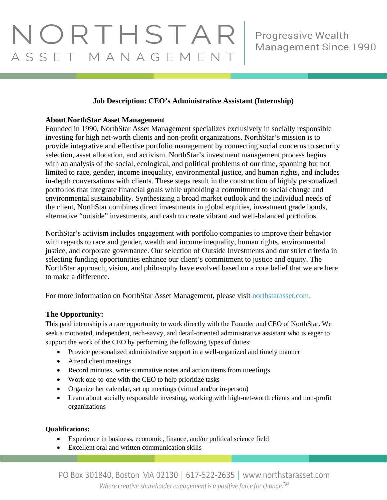# **Job Description: CEO's Administrative Assistant (Internship)**

### **About NorthStar Asset Management**

Founded in 1990, NorthStar Asset Management specializes exclusively in socially responsible investing for high net-worth clients and non-profit organizations. NorthStar's mission is to provide integrative and effective portfolio management by connecting social concerns to security selection, asset allocation, and activism. NorthStar's investment management process begins with an analysis of the social, ecological, and political problems of our time, spanning but not limited to race, gender, income inequality, environmental justice, and human rights, and includes in-depth conversations with clients. These steps result in the construction of highly personalized portfolios that integrate financial goals while upholding a commitment to social change and environmental sustainability. Synthesizing a broad market outlook and the individual needs of the client, NorthStar combines direct investments in global equities, investment grade bonds, alternative "outside" investments, and cash to create vibrant and well-balanced portfolios.

NorthStar's activism includes engagement with portfolio companies to improve their behavior with regards to race and gender, wealth and income inequality, human rights, environmental justice, and corporate governance. Our selection of Outside Investments and our strict criteria in selecting funding opportunities enhance our client's commitment to justice and equity. The NorthStar approach, vision, and philosophy have evolved based on a core belief that we are here to make a difference.

For more information on NorthStar Asset Management, please visit [northstarasset.com.](https://northstarasset.com/)

## **The Opportunity:**

This paid internship is a rare opportunity to work directly with the Founder and CEO of NorthStar. We seek a motivated, independent, tech-savvy, and detail-oriented administrative assistant who is eager to support the work of the CEO by performing the following types of duties:

- Provide personalized administrative support in a well-organized and timely manner
- Attend client meetings
- Record minutes, write summative notes and action items from meetings
- Work one-to-one with the CEO to help prioritize tasks
- Organize her calendar, set up meetings (virtual and/or in-person)
- Learn about socially responsible investing, working with high-net-worth clients and non-profit organizations

#### **Qualifications:**

- Experience in business, economic, finance, and/or political science field
- Excellent oral and written communication skills